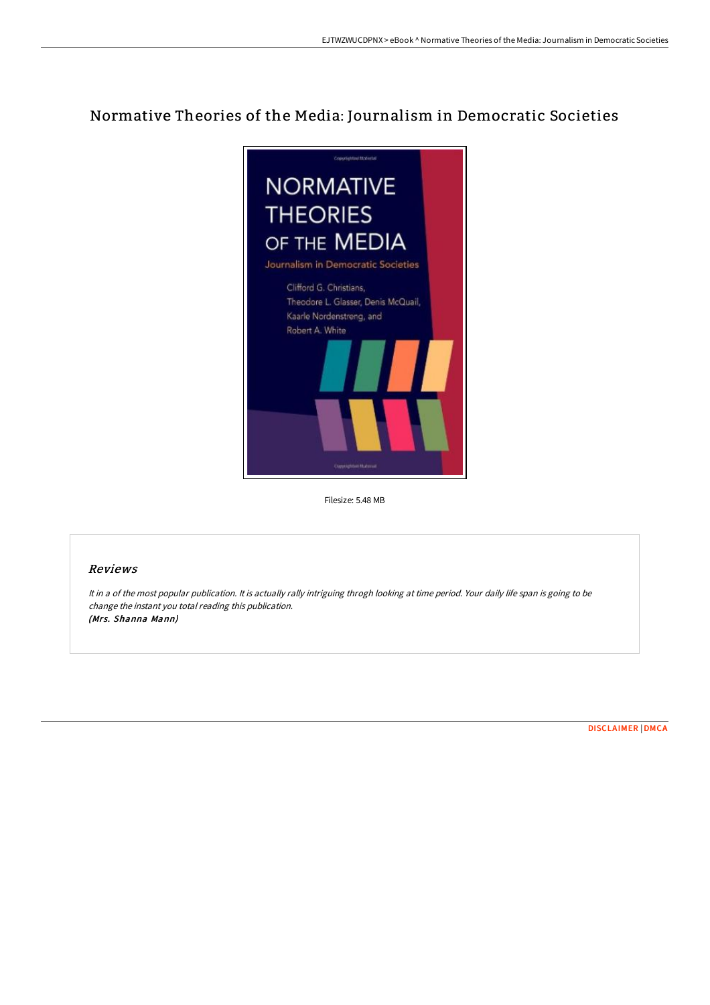## Normative Theories of the Media: Journalism in Democratic Societies



Filesize: 5.48 MB

## Reviews

It in <sup>a</sup> of the most popular publication. It is actually rally intriguing throgh looking at time period. Your daily life span is going to be change the instant you total reading this publication. (Mrs. Shanna Mann)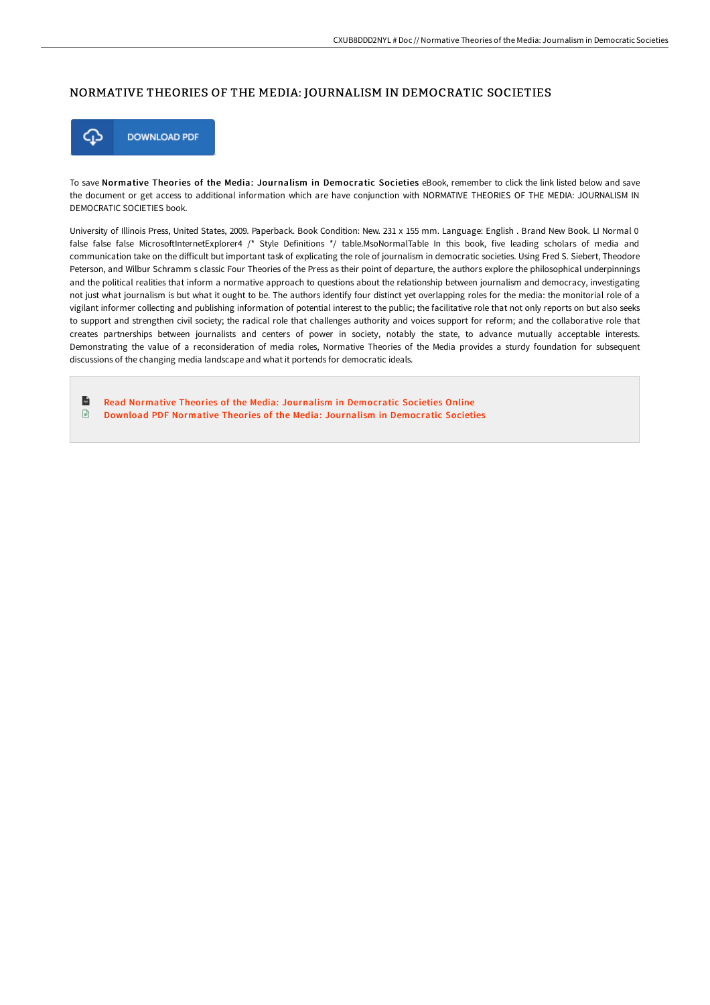## NORMATIVE THEORIES OF THE MEDIA: JOURNALISM IN DEMOCRATIC SOCIETIES



To save Normative Theories of the Media: Journalism in Democratic Societies eBook, remember to click the link listed below and save the document or get access to additional information which are have conjunction with NORMATIVE THEORIES OF THE MEDIA: JOURNALISM IN DEMOCRATIC SOCIETIES book.

University of Illinois Press, United States, 2009. Paperback. Book Condition: New. 231 x 155 mm. Language: English . Brand New Book. LI Normal 0 false false false MicrosoftInternetExplorer4 /\* Style Definitions \*/ table.MsoNormalTable In this book, five leading scholars of media and communication take on the diFicult but important task of explicating the role of journalism in democratic societies. Using Fred S. Siebert, Theodore Peterson, and Wilbur Schramm s classic Four Theories of the Press as their point of departure, the authors explore the philosophical underpinnings and the political realities that inform a normative approach to questions about the relationship between journalism and democracy, investigating not just what journalism is but what it ought to be. The authors identify four distinct yet overlapping roles for the media: the monitorial role of a vigilant informer collecting and publishing information of potential interest to the public; the facilitative role that not only reports on but also seeks to support and strengthen civil society; the radical role that challenges authority and voices support for reform; and the collaborative role that creates partnerships between journalists and centers of power in society, notably the state, to advance mutually acceptable interests. Demonstrating the value of a reconsideration of media roles, Normative Theories of the Media provides a sturdy foundation for subsequent discussions of the changing media landscape and what it portends for democratic ideals.

 $\mathbf{r}$ Read Normative Theories of the Media: Journalism in [Democratic](http://albedo.media/normative-theories-of-the-media-journalism-in-de.html) Societies Online  $\Box$ Download PDF Normative Theories of the Media: Journalism in [Democratic](http://albedo.media/normative-theories-of-the-media-journalism-in-de.html) Societies